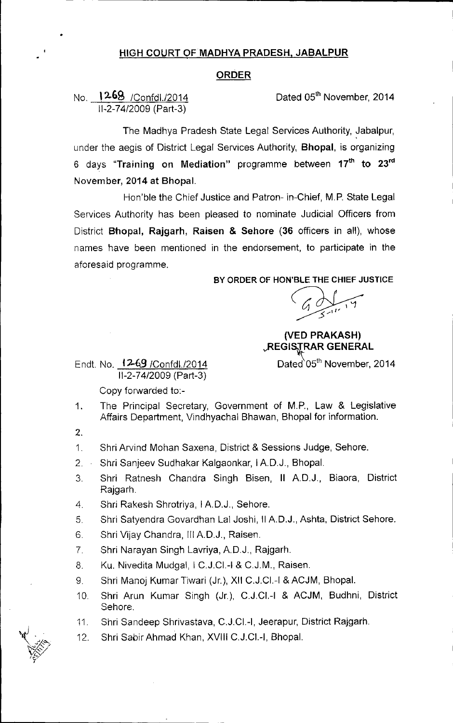## HIGH COURT OF MADHYA PRADESH, JABALPUR

## ORDER

No. l2.6S *IConfdl./2014 11-2-74/2009* (Part-3)

•

Dated 05<sup>th</sup> November, 2014

The Madhya Pradesh State Legal Services Authority, Jabalpur, under the aegis of District Legal Services Authority, Bhopal, is organizing 6 days "Training on Mediation" programme between 17<sup>th</sup> to 23<sup>rd</sup> November, 2014 at Bhopal.

Hon'ble the Chief Justice and Patron- in-Chief, M.P. State Legal Services Authority has been pleased to nominate Judicial Officers from District Bhopal, Rajgarh, Raisen & Sehore (36 officers in all), whose names have been mentioned in the endorsement, to participate in the aforesaid programme.

## BY ORDER OF HON'BLE THE CHIEF JUSTICE

(VED PRAKASH) REGISTRAR GENERAL

Endt. No. 12-69 / Confdl./2014 Dated 05<sup>th</sup> November, 2014 *11-2-74/2009* (Part-3)

Copy forwarded to:-

- 1. The Principal Secretary, Government of M.P., Law & Legislative Affairs Department, Vindhyachal Bhawan, Bhopal for information.
- 2.

1. Shri Arvind Mohan Saxena, District & Sessions Judge, Sehore.

- 2. Shri Sanjeev Sudhakar Kalgaonkar, I AD.J., Bhopal.
- 3. Shri Ratnesh Chandra Singh Bisen, II AD.J., Biaora, District Rajgarh.
- 4. Shri Rakesh Shrotriya, I A.D.J., Sehore.
- 5. Shri Satyendra Govardhan Lal Joshi, II A.D.J., Ashta, District Sehore.
- 6. Shri Vijay Chandra, III AD.J., Raisen.
- 7. Shri Narayan Singh Lavriya, AD.J., Rajgarh.
- 8. Ku. Nivedita Mudgal, I C.J.CI.-I & C.J.M., Raisen.
- 9. Shri Manoj Kumar Tiwari (Jr.), XII C.J.CI.-I & ACJM, Bhopal.
- 10. Shri Arun Kumar Singh (Jr.), C.J.CI.-I & ACJM, Budhni, District Sehore.
- 11. Shri Sandeep Shrivastava, C.J.CI.-I, Jeerapur, District Rajgarh.
- 12. Shri Sabir Ahmad Khan, XVIII C.J.CI.-I, Bhopal.